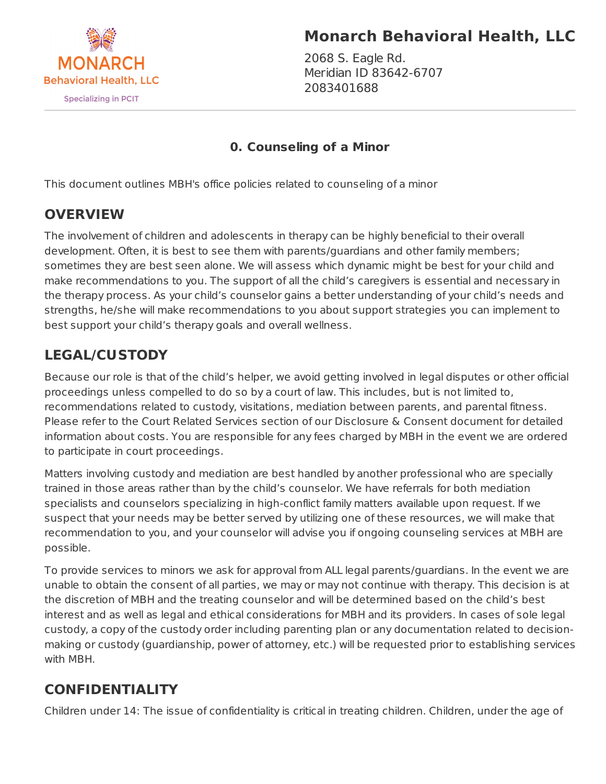

# **Monarch Behavioral Health, LLC**

2068 S. Eagle Rd. Meridian ID 83642-6707 2083401688

#### **0. Counseling of a Minor**

This document outlines MBH's office policies related to counseling of a minor

### **OVERVIEW**

The involvement of children and adolescents in therapy can be highly beneficial to their overall development. Often, it is best to see them with parents/guardians and other family members; sometimes they are best seen alone. We will assess which dynamic might be best for your child and make recommendations to you. The support of all the child's caregivers is essential and necessary in the therapy process. As your child's counselor gains a better understanding of your child's needs and strengths, he/she will make recommendations to you about support strategies you can implement to best support your child's therapy goals and overall wellness.

## **LEGAL/CUSTODY**

Because our role is that of the child's helper, we avoid getting involved in legal disputes or other official proceedings unless compelled to do so by a court of law. This includes, but is not limited to, recommendations related to custody, visitations, mediation between parents, and parental fitness. Please refer to the Court Related Services section of our Disclosure & Consent document for detailed information about costs. You are responsible for any fees charged by MBH in the event we are ordered to participate in court proceedings.

Matters involving custody and mediation are best handled by another professional who are specially trained in those areas rather than by the child's counselor. We have referrals for both mediation specialists and counselors specializing in high-conflict family matters available upon request. If we suspect that your needs may be better served by utilizing one of these resources, we will make that recommendation to you, and your counselor will advise you if ongoing counseling services at MBH are possible.

To provide services to minors we ask for approval from ALL legal parents/guardians. In the event we are unable to obtain the consent of all parties, we may or may not continue with therapy. This decision is at the discretion of MBH and the treating counselor and will be determined based on the child's best interest and as well as legal and ethical considerations for MBH and its providers. In cases of sole legal custody, a copy of the custody order including parenting plan or any documentation related to decisionmaking or custody (guardianship, power of attorney, etc.) will be requested prior to establishing services with MBH.

## **CONFIDENTIALITY**

Children under 14: The issue of confidentiality is critical in treating children. Children, under the age of